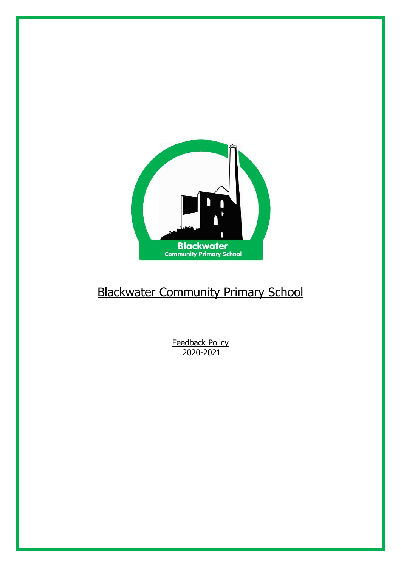

# Blackwater Community Primary School

Feedback Policy 2020-2021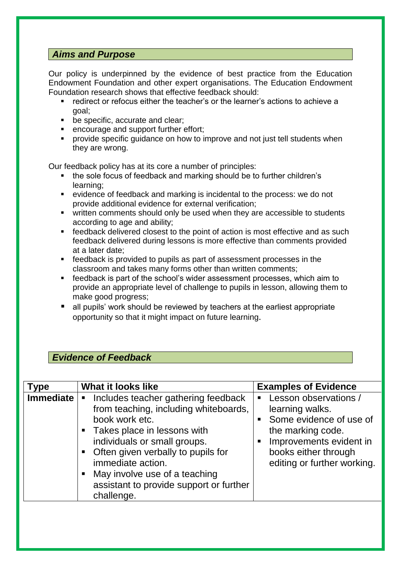# *Aims and Purpose*

Our policy is underpinned by the evidence of best practice from the Education Endowment Foundation and other expert organisations. The Education Endowment Foundation research shows that effective feedback should:

- redirect or refocus either the teacher's or the learner's actions to achieve a goal;
- **be specific, accurate and clear;**
- **EXECUTE:** encourage and support further effort;
- **Perovide specific quidance on how to improve and not just tell students when** they are wrong.

Our feedback policy has at its core a number of principles:

- the sole focus of feedback and marking should be to further children's learning;
- evidence of feedback and marking is incidental to the process: we do not provide additional evidence for external verification;
- **•** written comments should only be used when they are accessible to students according to age and ability;
- **F** feedback delivered closest to the point of action is most effective and as such feedback delivered during lessons is more effective than comments provided at a later date;
- feedback is provided to pupils as part of assessment processes in the classroom and takes many forms other than written comments;
- feedback is part of the school's wider assessment processes, which aim to provide an appropriate level of challenge to pupils in lesson, allowing them to make good progress;
- all pupils' work should be reviewed by teachers at the earliest appropriate opportunity so that it might impact on future learning.

## *Evidence of Feedback*

| <b>Type</b> | <b>What it looks like</b>                                                                                                                                                                                                                                                                                                                        | <b>Examples of Evidence</b>                                                                                                                                                                                                      |
|-------------|--------------------------------------------------------------------------------------------------------------------------------------------------------------------------------------------------------------------------------------------------------------------------------------------------------------------------------------------------|----------------------------------------------------------------------------------------------------------------------------------------------------------------------------------------------------------------------------------|
| Immediate   | Includes teacher gathering feedback<br>п<br>from teaching, including whiteboards,<br>book work etc.<br>• Takes place in lessons with<br>individuals or small groups.<br>Often given verbally to pupils for<br>$\blacksquare$<br>immediate action.<br>May involve use of a teaching<br>п<br>assistant to provide support or further<br>challenge. | Lesson observations /<br>$\blacksquare$<br>learning walks.<br>Some evidence of use of<br>$\blacksquare$<br>the marking code.<br>Improvements evident in<br>$\blacksquare$<br>books either through<br>editing or further working. |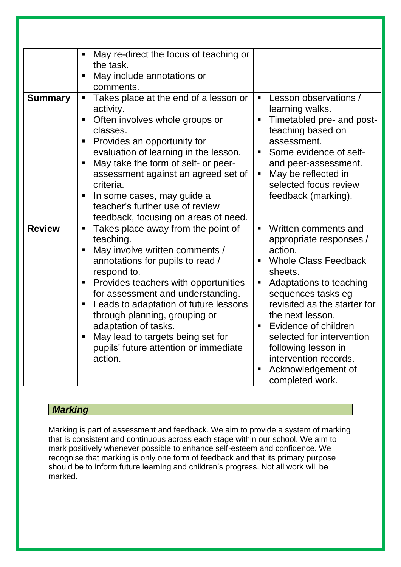|                | May re-direct the focus of teaching or<br>the task.<br>May include annotations or<br>comments.                                                                                                                                                                                                                                                                                                                                 |                                                                                                                                                                                                                                                                                                                                                                                          |
|----------------|--------------------------------------------------------------------------------------------------------------------------------------------------------------------------------------------------------------------------------------------------------------------------------------------------------------------------------------------------------------------------------------------------------------------------------|------------------------------------------------------------------------------------------------------------------------------------------------------------------------------------------------------------------------------------------------------------------------------------------------------------------------------------------------------------------------------------------|
| <b>Summary</b> | Takes place at the end of a lesson or<br>п<br>activity.<br>Often involves whole groups or<br>classes.<br>Provides an opportunity for<br>evaluation of learning in the lesson.<br>May take the form of self- or peer-<br>п<br>assessment against an agreed set of<br>criteria.<br>In some cases, may guide a<br>teacher's further use of review<br>feedback, focusing on areas of need.                                         | Lesson observations /<br>٠<br>learning walks.<br>Timetabled pre- and post-<br>п<br>teaching based on<br>assessment.<br>Some evidence of self-<br>and peer-assessment.<br>May be reflected in<br>п<br>selected focus review<br>feedback (marking).                                                                                                                                        |
| <b>Review</b>  | Takes place away from the point of<br>$\blacksquare$<br>teaching.<br>May involve written comments /<br>annotations for pupils to read /<br>respond to.<br>Provides teachers with opportunities<br>for assessment and understanding.<br>Leads to adaptation of future lessons<br>through planning, grouping or<br>adaptation of tasks.<br>May lead to targets being set for<br>pupils' future attention or immediate<br>action. | Written comments and<br>$\blacksquare$<br>appropriate responses /<br>action.<br><b>Whole Class Feedback</b><br>sheets.<br>Adaptations to teaching<br>п<br>sequences tasks eg<br>revisited as the starter for<br>the next lesson.<br>Evidence of children<br>٠<br>selected for intervention<br>following lesson in<br>intervention records.<br>Acknowledgement of<br>п<br>completed work. |

# *Marking*

Marking is part of assessment and feedback. We aim to provide a system of marking that is consistent and continuous across each stage within our school. We aim to mark positively whenever possible to enhance self-esteem and confidence. We recognise that marking is only one form of feedback and that its primary purpose should be to inform future learning and children's progress. Not all work will be marked.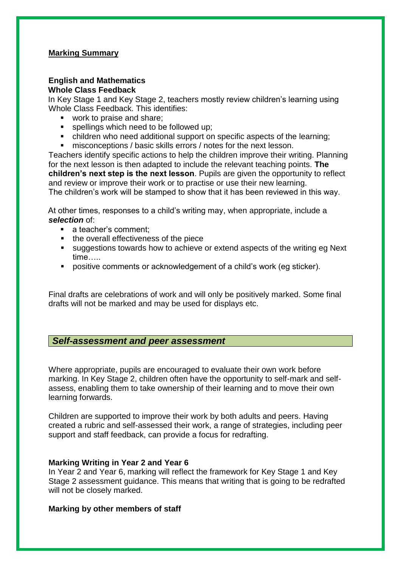#### **Marking Summary**

#### **English and Mathematics Whole Class Feedback**

In Key Stage 1 and Key Stage 2, teachers mostly review children's learning using Whole Class Feedback. This identifies:

- work to praise and share;
- **spellings which need to be followed up;**
- children who need additional support on specific aspects of the learning;
- misconceptions / basic skills errors / notes for the next lesson.

Teachers identify specific actions to help the children improve their writing. Planning for the next lesson is then adapted to include the relevant teaching points. **The children's next step is the next lesson**. Pupils are given the opportunity to reflect and review or improve their work or to practise or use their new learning. The children's work will be stamped to show that it has been reviewed in this way.

At other times, responses to a child's writing may, when appropriate, include a *selection* of:

- **a** teacher's comment;
- the overall effectiveness of the piece
- suggestions towards how to achieve or extend aspects of the writing eg Next time…..
- positive comments or acknowledgement of a child's work (eg sticker).

Final drafts are celebrations of work and will only be positively marked. Some final drafts will not be marked and may be used for displays etc.

## *Self-assessment and peer assessment*

Where appropriate, pupils are encouraged to evaluate their own work before marking. In Key Stage 2, children often have the opportunity to self-mark and selfassess, enabling them to take ownership of their learning and to move their own learning forwards.

Children are supported to improve their work by both adults and peers. Having created a rubric and self-assessed their work, a range of strategies, including peer support and staff feedback, can provide a focus for redrafting.

#### **Marking Writing in Year 2 and Year 6**

In Year 2 and Year 6, marking will reflect the framework for Key Stage 1 and Key Stage 2 assessment guidance. This means that writing that is going to be redrafted will not be closely marked.

#### **Marking by other members of staff**